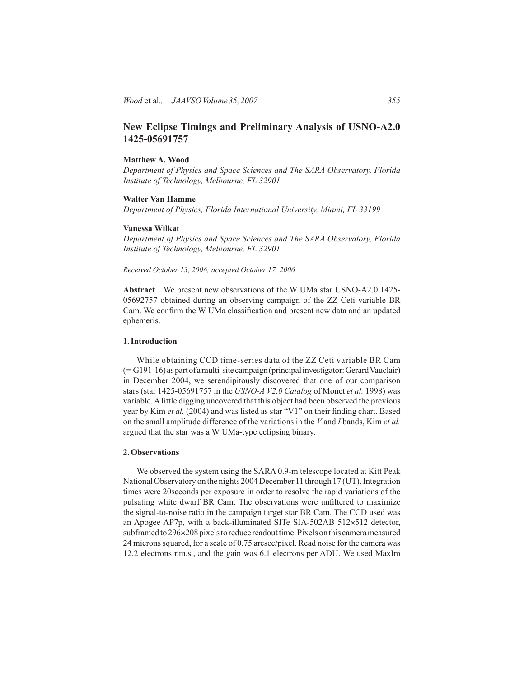# **New Eclipse Timings and Preliminary Analysis of USNO-A2.0 1425-05691757**

#### **Matthew A. Wood**

*Department of Physics and Space Sciences and The SARA Observatory, Florida Institute of Technology, Melbourne, FL 32901*

#### **Walter Van Hamme**

*Department of Physics, Florida International University, Miami, FL 33199*

#### **Vanessa Wilkat**

*Department of Physics and Space Sciences and The SARA Observatory, Florida Institute of Technology, Melbourne, FL 32901*

*Received October 13, 2006; accepted October 17, 2006*

**Abstract** We present new observations of the W UMa star USNO-A2.0 1425- 05692757 obtained during an observing campaign of the ZZ Ceti variable BR Cam. We confirm the W UMa classification and present new data and an updated ephemeris.

### **1.Introduction**

While obtaining CCD time-series data of the ZZ Ceti variable BR Cam (= G191-16) as part of a multi-site campaign (principal investigator: Gerard Vauclair) in December 2004, we serendipitously discovered that one of our comparison stars (star 1425-05691757 in the *USNO-A V2.0 Catalog* of Monet *et al.* 1998) was variable. A little digging uncovered that this object had been observed the previous year by Kim *et al.* (2004) and was listed as star "V1" on their finding chart. Based on the small amplitude difference of the variations in the *V* and *I* bands, Kim *et al.* argued that the star was a W UMa-type eclipsing binary.

## **2.Observations**

We observed the system using the SARA 0.9-m telescope located at Kitt Peak National Observatory on the nights 2004 December 11 through 17 (UT). Integration times were 20seconds per exposure in order to resolve the rapid variations of the pulsating white dwarf BR Cam. The observations were unfiltered to maximize the signal-to-noise ratio in the campaign target star BR Cam. The CCD used was an Apogee AP7p, with a back-illuminated SITe SIA-502AB 512×512 detector, subframed to 296×208 pixels to reduce readout time. Pixels on this camera measured 24 microns squared, for a scale of 0.75 arcsec/pixel. Read noise for the camera was 12.2 electrons r.m.s., and the gain was 6.1 electrons per ADU. We used MaxIm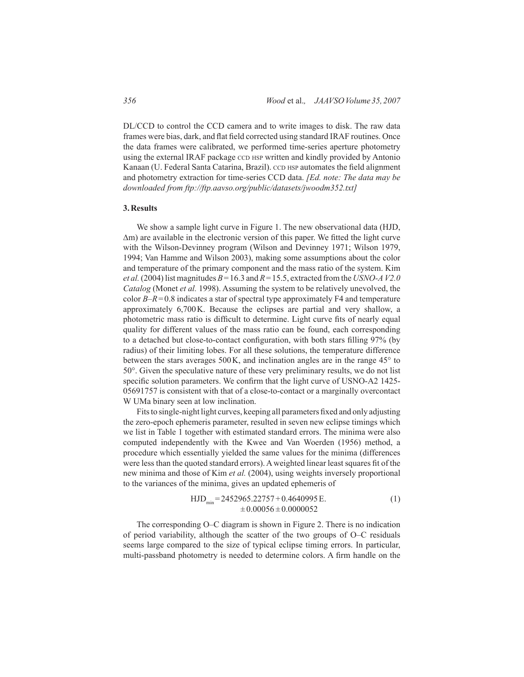DL/CCD to control the CCD camera and to write images to disk. The raw data frames were bias, dark, and flat field corrected using standard IRAF routines. Once the data frames were calibrated, we performed time-series aperture photometry using the external IRAF package ccd hsp written and kindly provided by Antonio Kanaan (U. Federal Santa Catarina, Brazil). CCD HSP automates the field alignment and photometry extraction for time-series CCD data. *[Ed. note: The data may be downloaded from ftp://ftp.aavso.org/public/datasets/jwoodm352.txt]*

#### **3.Results**

We show a sample light curve in Figure 1. The new observational data (HJD, ∆m) are available in the electronic version of this paper. We fitted the light curve with the Wilson-Devinney program (Wilson and Devinney 1971; Wilson 1979, 1994; Van Hamme and Wilson 2003), making some assumptions about the color and temperature of the primary component and the mass ratio of the system. Kim *et al.* (2004) list magnitudes  $B = 16.3$  and  $R = 15.5$ , extracted from the *USNO-AV2.0 Catalog* (Monet *et al.* 1998). Assuming the system to be relatively unevolved, the color *B–R*=0.8 indicates a star of spectral type approximately F4 and temperature approximately 6,700K. Because the eclipses are partial and very shallow, a photometric mass ratio is difficult to determine. Light curve fits of nearly equal quality for different values of the mass ratio can be found, each corresponding to a detached but close-to-contact configuration, with both stars filling 97% (by radius) of their limiting lobes. For all these solutions, the temperature difference between the stars averages 500K, and inclination angles are in the range 45° to 50°. Given the speculative nature of these very preliminary results, we do not list specific solution parameters. We confirm that the light curve of USNO-A2 1425- 05691757 is consistent with that of a close-to-contact or a marginally overcontact W UMa binary seen at low inclination.

Fits to single-night light curves, keeping all parameters fixed and only adjusting the zero-epoch ephemeris parameter, resulted in seven new eclipse timings which we list in Table 1 together with estimated standard errors. The minima were also computed independently with the Kwee and Van Woerden (1956) method, a procedure which essentially yielded the same values for the minima (differences were less than the quoted standard errors). A weighted linear least squares fit of the new minima and those of Kim *et al.* (2004), using weights inversely proportional to the variances of the minima, gives an updated ephemeris of

$$
HJD_{min} = 2452965.22757 + 0.4640995 E.
$$
  

$$
\pm 0.00056 \pm 0.0000052
$$
 (1)

The corresponding O–C diagram is shown in Figure 2. There is no indication of period variability, although the scatter of the two groups of O–C residuals seems large compared to the size of typical eclipse timing errors. In particular, multi-passband photometry is needed to determine colors. A firm handle on the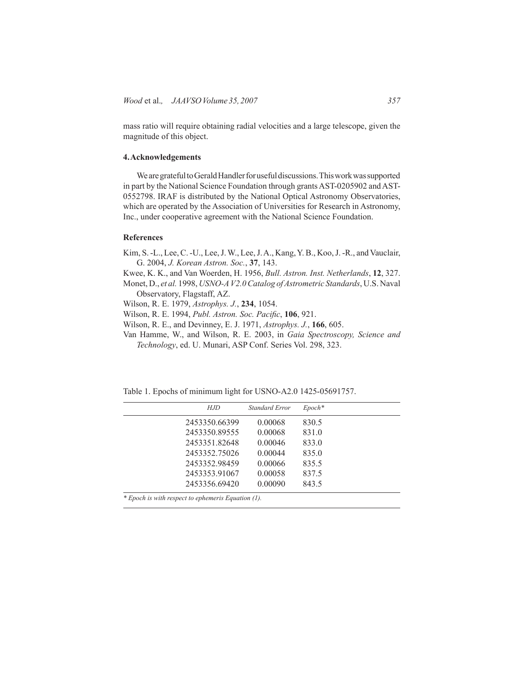mass ratio will require obtaining radial velocities and a large telescope, given the magnitude of this object.

### **4.Acknowledgements**

We are grateful to Gerald Handler for useful discussions. This work was supported in part by the National Science Foundation through grants AST-0205902 and AST-0552798. IRAF is distributed by the National Optical Astronomy Observatories, which are operated by the Association of Universities for Research in Astronomy, Inc., under cooperative agreement with the National Science Foundation.

## **References**

- Kim, S. -L., Lee, C. -U., Lee, J. W., Lee, J. A., Kang, Y. B., Koo, J. -R., and Vauclair, G. 2004, *J. Korean Astron. Soc.*, **37**, 143.
- Kwee, K. K., and Van Woerden, H. 1956, *Bull. Astron. Inst. Netherlands*, **12**, 327. Monet, D., *et al.* 1998, *USNO-A V2.0 Catalog of Astrometric Standards*, U.S. Naval Observatory, Flagstaff, AZ.
- Wilson, R. E. 1979, *Astrophys. J.*, **234**, 1054.
- Wilson, R. E. 1994, *Publ. Astron. Soc. Pacific*, **106**, 921.
- Wilson, R. E., and Devinney, E. J. 1971, *Astrophys. J.*, **166**, 605.
- Van Hamme, W., and Wilson, R. E. 2003, in *Gaia Spectroscopy, Science and Technology*, ed. U. Munari, ASP Conf. Series Vol. 298, 323.

Table 1. Epochs of minimum light for USNO-A2.0 1425-05691757.

| HJD           | <b>Standard Error</b> | $Epoch*$ |
|---------------|-----------------------|----------|
| 2453350.66399 | 0.00068               | 830.5    |
| 2453350.89555 | 0.00068               | 831.0    |
| 2453351.82648 | 0.00046               | 833.0    |
| 2453352.75026 | 0.00044               | 835.0    |
| 2453352.98459 | 0.00066               | 835.5    |
| 2453353.91067 | 0.00058               | 837.5    |
| 2453356.69420 | 0.00090               | 843.5    |

*\* Epoch is with respect to ephemeris Equation (1).*